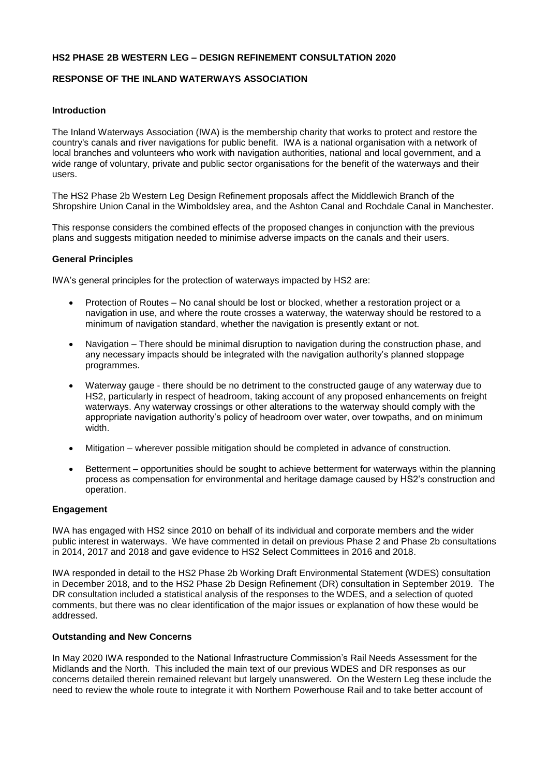### **HS2 PHASE 2B WESTERN LEG – DESIGN REFINEMENT CONSULTATION 2020**

### **RESPONSE OF THE INLAND WATERWAYS ASSOCIATION**

### **Introduction**

The Inland Waterways Association (IWA) is the membership charity that works to protect and restore the country's canals and river navigations for public benefit. IWA is a national organisation with a network of local branches and volunteers who work with navigation authorities, national and local government, and a wide range of voluntary, private and public sector organisations for the benefit of the waterways and their users.

The HS2 Phase 2b Western Leg Design Refinement proposals affect the Middlewich Branch of the Shropshire Union Canal in the Wimboldsley area, and the Ashton Canal and Rochdale Canal in Manchester.

This response considers the combined effects of the proposed changes in conjunction with the previous plans and suggests mitigation needed to minimise adverse impacts on the canals and their users.

#### **General Principles**

IWA's general principles for the protection of waterways impacted by HS2 are:

- Protection of Routes No canal should be lost or blocked, whether a restoration project or a navigation in use, and where the route crosses a waterway, the waterway should be restored to a minimum of navigation standard, whether the navigation is presently extant or not.
- Navigation There should be minimal disruption to navigation during the construction phase, and any necessary impacts should be integrated with the navigation authority's planned stoppage programmes.
- Waterway gauge there should be no detriment to the constructed gauge of any waterway due to HS2, particularly in respect of headroom, taking account of any proposed enhancements on freight waterways. Any waterway crossings or other alterations to the waterway should comply with the appropriate navigation authority's policy of headroom over water, over towpaths, and on minimum width.
- Mitigation wherever possible mitigation should be completed in advance of construction.
- Betterment opportunities should be sought to achieve betterment for waterways within the planning process as compensation for environmental and heritage damage caused by HS2's construction and operation.

#### **Engagement**

IWA has engaged with HS2 since 2010 on behalf of its individual and corporate members and the wider public interest in waterways. We have commented in detail on previous Phase 2 and Phase 2b consultations in 2014, 2017 and 2018 and gave evidence to HS2 Select Committees in 2016 and 2018.

IWA responded in detail to the HS2 Phase 2b Working Draft Environmental Statement (WDES) consultation in December 2018, and to the HS2 Phase 2b Design Refinement (DR) consultation in September 2019. The DR consultation included a statistical analysis of the responses to the WDES, and a selection of quoted comments, but there was no clear identification of the major issues or explanation of how these would be addressed.

#### **Outstanding and New Concerns**

In May 2020 IWA responded to the National Infrastructure Commission's Rail Needs Assessment for the Midlands and the North. This included the main text of our previous WDES and DR responses as our concerns detailed therein remained relevant but largely unanswered. On the Western Leg these include the need to review the whole route to integrate it with Northern Powerhouse Rail and to take better account of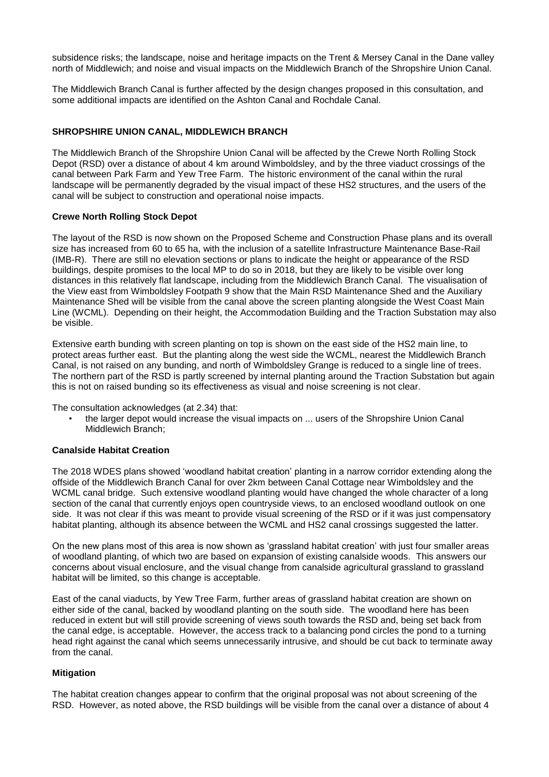subsidence risks; the landscape, noise and heritage impacts on the Trent & Mersey Canal in the Dane valley north of Middlewich; and noise and visual impacts on the Middlewich Branch of the Shropshire Union Canal.

The Middlewich Branch Canal is further affected by the design changes proposed in this consultation, and some additional impacts are identified on the Ashton Canal and Rochdale Canal.

# **SHROPSHIRE UNION CANAL, MIDDLEWICH BRANCH**

The Middlewich Branch of the Shropshire Union Canal will be affected by the Crewe North Rolling Stock Depot (RSD) over a distance of about 4 km around Wimboldsley, and by the three viaduct crossings of the canal between Park Farm and Yew Tree Farm. The historic environment of the canal within the rural landscape will be permanently degraded by the visual impact of these HS2 structures, and the users of the canal will be subject to construction and operational noise impacts.

## **Crewe North Rolling Stock Depot**

The layout of the RSD is now shown on the Proposed Scheme and Construction Phase plans and its overall size has increased from 60 to 65 ha, with the inclusion of a satellite Infrastructure Maintenance Base-Rail (IMB-R). There are still no elevation sections or plans to indicate the height or appearance of the RSD buildings, despite promises to the local MP to do so in 2018, but they are likely to be visible over long distances in this relatively flat landscape, including from the Middlewich Branch Canal. The visualisation of the View east from Wimboldsley Footpath 9 show that the Main RSD Maintenance Shed and the Auxiliary Maintenance Shed will be visible from the canal above the screen planting alongside the West Coast Main Line (WCML). Depending on their height, the Accommodation Building and the Traction Substation may also be visible.

Extensive earth bunding with screen planting on top is shown on the east side of the HS2 main line, to protect areas further east. But the planting along the west side the WCML, nearest the Middlewich Branch Canal, is not raised on any bunding, and north of Wimboldsley Grange is reduced to a single line of trees. The northern part of the RSD is partly screened by internal planting around the Traction Substation but again this is not on raised bunding so its effectiveness as visual and noise screening is not clear.

The consultation acknowledges (at 2.34) that:

the larger depot would increase the visual impacts on ... users of the Shropshire Union Canal Middlewich Branch;

## **Canalside Habitat Creation**

The 2018 WDES plans showed 'woodland habitat creation' planting in a narrow corridor extending along the offside of the Middlewich Branch Canal for over 2km between Canal Cottage near Wimboldsley and the WCML canal bridge. Such extensive woodland planting would have changed the whole character of a long section of the canal that currently enjoys open countryside views, to an enclosed woodland outlook on one side. It was not clear if this was meant to provide visual screening of the RSD or if it was just compensatory habitat planting, although its absence between the WCML and HS2 canal crossings suggested the latter.

On the new plans most of this area is now shown as 'grassland habitat creation' with just four smaller areas of woodland planting, of which two are based on expansion of existing canalside woods. This answers our concerns about visual enclosure, and the visual change from canalside agricultural grassland to grassland habitat will be limited, so this change is acceptable.

East of the canal viaducts, by Yew Tree Farm, further areas of grassland habitat creation are shown on either side of the canal, backed by woodland planting on the south side. The woodland here has been reduced in extent but will still provide screening of views south towards the RSD and, being set back from the canal edge, is acceptable. However, the access track to a balancing pond circles the pond to a turning head right against the canal which seems unnecessarily intrusive, and should be cut back to terminate away from the canal.

## **Mitigation**

The habitat creation changes appear to confirm that the original proposal was not about screening of the RSD. However, as noted above, the RSD buildings will be visible from the canal over a distance of about 4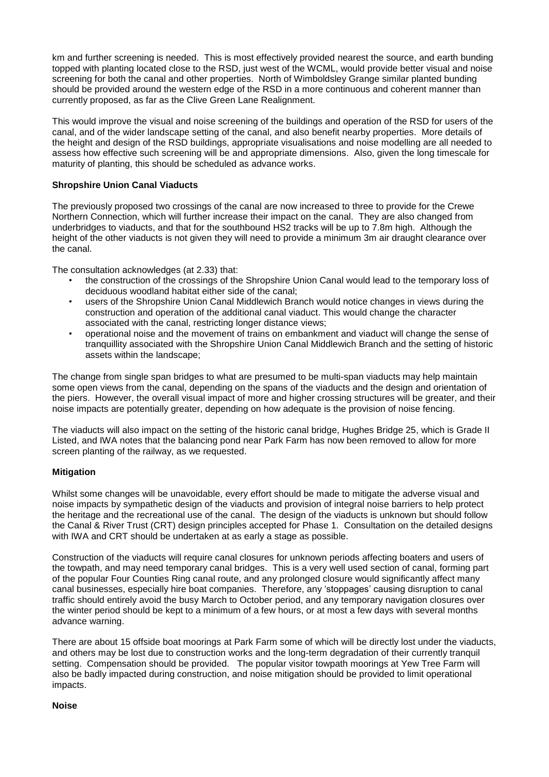km and further screening is needed. This is most effectively provided nearest the source, and earth bunding topped with planting located close to the RSD, just west of the WCML, would provide better visual and noise screening for both the canal and other properties. North of Wimboldsley Grange similar planted bunding should be provided around the western edge of the RSD in a more continuous and coherent manner than currently proposed, as far as the Clive Green Lane Realignment.

This would improve the visual and noise screening of the buildings and operation of the RSD for users of the canal, and of the wider landscape setting of the canal, and also benefit nearby properties. More details of the height and design of the RSD buildings, appropriate visualisations and noise modelling are all needed to assess how effective such screening will be and appropriate dimensions. Also, given the long timescale for maturity of planting, this should be scheduled as advance works.

# **Shropshire Union Canal Viaducts**

The previously proposed two crossings of the canal are now increased to three to provide for the Crewe Northern Connection, which will further increase their impact on the canal. They are also changed from underbridges to viaducts, and that for the southbound HS2 tracks will be up to 7.8m high. Although the height of the other viaducts is not given they will need to provide a minimum 3m air draught clearance over the canal.

The consultation acknowledges (at 2.33) that:

- the construction of the crossings of the Shropshire Union Canal would lead to the temporary loss of deciduous woodland habitat either side of the canal;
- users of the Shropshire Union Canal Middlewich Branch would notice changes in views during the construction and operation of the additional canal viaduct. This would change the character associated with the canal, restricting longer distance views;
- operational noise and the movement of trains on embankment and viaduct will change the sense of tranquillity associated with the Shropshire Union Canal Middlewich Branch and the setting of historic assets within the landscape;

The change from single span bridges to what are presumed to be multi-span viaducts may help maintain some open views from the canal, depending on the spans of the viaducts and the design and orientation of the piers. However, the overall visual impact of more and higher crossing structures will be greater, and their noise impacts are potentially greater, depending on how adequate is the provision of noise fencing.

The viaducts will also impact on the setting of the historic canal bridge, Hughes Bridge 25, which is Grade II Listed, and IWA notes that the balancing pond near Park Farm has now been removed to allow for more screen planting of the railway, as we requested.

## **Mitigation**

Whilst some changes will be unavoidable, every effort should be made to mitigate the adverse visual and noise impacts by sympathetic design of the viaducts and provision of integral noise barriers to help protect the heritage and the recreational use of the canal. The design of the viaducts is unknown but should follow the Canal & River Trust (CRT) design principles accepted for Phase 1. Consultation on the detailed designs with IWA and CRT should be undertaken at as early a stage as possible.

Construction of the viaducts will require canal closures for unknown periods affecting boaters and users of the towpath, and may need temporary canal bridges. This is a very well used section of canal, forming part of the popular Four Counties Ring canal route, and any prolonged closure would significantly affect many canal businesses, especially hire boat companies. Therefore, any 'stoppages' causing disruption to canal traffic should entirely avoid the busy March to October period, and any temporary navigation closures over the winter period should be kept to a minimum of a few hours, or at most a few days with several months advance warning.

There are about 15 offside boat moorings at Park Farm some of which will be directly lost under the viaducts, and others may be lost due to construction works and the long-term degradation of their currently tranquil setting. Compensation should be provided. The popular visitor towpath moorings at Yew Tree Farm will also be badly impacted during construction, and noise mitigation should be provided to limit operational impacts.

#### **Noise**